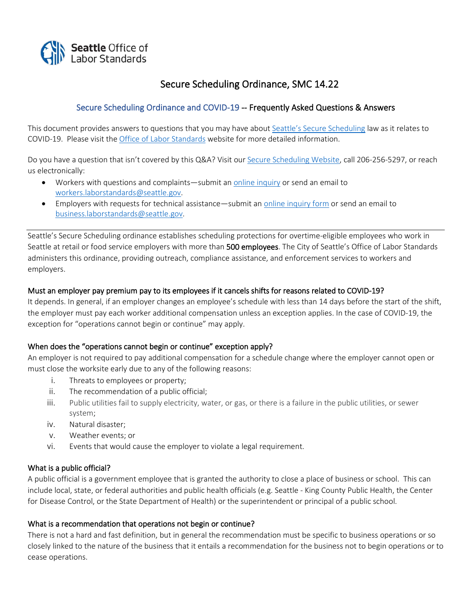

# Secure Scheduling Ordinance, SMC 14.22

# Secure Scheduling Ordinance and COVID-19 -- Frequently Asked Questions & Answers

This document provides answers to questions that you may have about [Seattle's Secure Scheduling](http://www.seattle.gov/laborstandards/ordinances/secure-scheduling) law as it relates to COVID-19. Please visit the [Office of Labor Standards](http://www.seattle.gov/laborstandards/ordinances/paid-sick-and-safe-time) website for more detailed information.

Do you have a question that isn't covered by this Q&A? Visit our [Secure Scheduling Website,](http://www.seattle.gov/laborstandards/ordinances/secure-scheduling) call 206-256-5297, or reach us electronically:

- Workers with questions and complaints—submit an [online inquiry](https://olsconnect.microsoftcrmportals.com/employee-inquiry/) or send an email to [workers.laborstandards@seattle.gov.](mailto:workers.laborstandards@seattle.gov)
- Employers with requests for technical assistance—submit an [online inquiry form](https://olsconnect.microsoftcrmportals.com/employer-inquiry/) or send an email to [business.laborstandards@seattle.gov.](mailto:business.laborstandards@seattle.gov)

Seattle's Secure Scheduling ordinance establishes scheduling protections for overtime-eligible employees who work in Seattle at retail or food service employers with more than 500 employees. The City of Seattle's Office of Labor Standards administers this ordinance, providing outreach, compliance assistance, and enforcement services to workers and employers.

## Must an employer pay premium pay to its employees if it cancels shifts for reasons related to COVID-19?

It depends. In general, if an employer changes an employee's schedule with less than 14 days before the start of the shift, the employer must pay each worker additional compensation unless an exception applies. In the case of COVID-19, the exception for "operations cannot begin or continue" may apply.

### When does the "operations cannot begin or continue" exception apply?

An employer is not required to pay additional compensation for a schedule change where the employer cannot open or must close the worksite early due to any of the following reasons:

- i. Threats to employees or property;
- ii. The recommendation of a public official;
- iii. Public utilities fail to supply electricity, water, or gas, or there is a failure in the public utilities, or sewer system;
- iv. Natural disaster;
- v. Weather events; or
- vi. Events that would cause the employer to violate a legal requirement.

### What is a public official?

A public official is a government employee that is granted the authority to close a place of business or school. This can include local, state, or federal authorities and public health officials (e.g. Seattle - King County Public Health, the Center for Disease Control, or the State Department of Health) or the superintendent or principal of a public school.

### What is a recommendation that operations not begin or continue?

There is not a hard and fast definition, but in general the recommendation must be specific to business operations or so closely linked to the nature of the business that it entails a recommendation for the business not to begin operations or to cease operations.